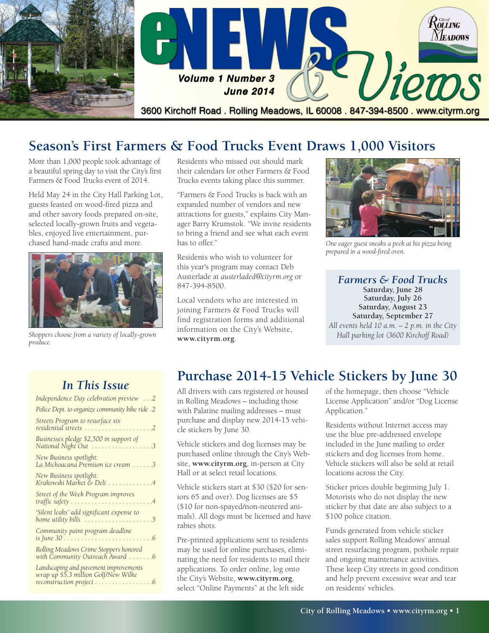

## **Season's First Farmers & Food Trucks Event Draws 1,000 Visitors**

More than 1,000 people took advantage of a beautiful spring day to visit the City's first Farmers & Food Trucks event of 2014.

Held May 24 in the City Hall Parking Lot, guests feasted on wood-fired pizza and and other savory foods prepared on-site, selected locally-grown fruits and vegetables, enjoyed live entertainment, purchased hand-made crafts and more.



**[www.cityrm.org](http://www.cityrm.org)**. *Shoppers choose from <sup>a</sup> variety of locally-grown produce.*

Residents who missed out should mark their calendars for other Farmers & Food Trucks events taking place this summer.

"Farmers & Food Trucks is back with an expanded number of vendors and new attractions for guests," explains City Manager Barry Krumstok. "We invite residents to bring a friend and see what each event has to offer."

Residents who wish to volunteer for this year's program may contact Deb Austerlade at *[austerladed@cityrm.org](mailto:austerladed@cityrm.org)* or 847-394-8500.

Local vendors who are interested in joining Farmers & Food Trucks will find registration forms and additional information on the City's Website,



*One eager guest sneaks a peek at his pizza being prepared in a wood-fired oven.*

*Farmers & Food Trucks* **Saturday, June 28 Saturday, July 26 Saturday, August 23 Saturday, September 27** *All events held 10 a.m. – 2 p.m. in the City Hall parking lot (3600 Kirchoff Road)*

### *In This Issue*

| Independence Day celebration preview 2                                                                    |
|-----------------------------------------------------------------------------------------------------------|
| Police Dept. to organize community bike ride .2                                                           |
| Streets Program to resurface six<br>residential streets 2                                                 |
| Businesses pledge \$2,500 in support of<br>National Night Out 3                                           |
| New Business spotlight:<br>La Michoacana Premium ice cream 3                                              |
| New Business spotlight:<br>Krakowski Market & Deli 4                                                      |
| Street of the Week Program improves                                                                       |
| 'Silent leaks' add significant expense to                                                                 |
| Community paint program deadline                                                                          |
| Rolling Meadows Crime Stoppers honored<br>with Community Outreach Award 6                                 |
| Landscaping and pavement improvements<br>wrap up \$5.3 million Golf/New Wilke<br>reconstruction project 6 |

# **Purchase 2014-15 Vehicle Stickers by June 30**

All drivers with cars registered or housed in Rolling Meadows – including those with Palatine mailing addresses – must purchase and display new 2014-15 vehicle stickers by June 30.

Vehicle stickers and dog licenses may be purchased online through the City's Website, **[www.cityrm.org](http://www.cityrm.org)**, in-person at City Hall or at select retail locations.

Vehicle stickers start at \$30 (\$20 for seniors 65 and over). Dog licenses are \$5 (\$10 for non-spayed/non-neutered animals). All dogs must be licensed and have rabies shots.

Pre-printed applications sent to residents may be used for online purchases, eliminating the need for residents to mail their applications. To order online, log onto the City's Website, **[www.cityrm.org](http://www.cityrm.org)**, select "Online Payments" at the left side

of the homepage, then choose "Vehicle License Application" and/or "Dog License Application."

Residents without Internet access may use the blue pre-addressed envelope included in the June mailing to order stickers and dog licenses from home. Vehicle stickers will also be sold at retail locations across the City.

Sticker prices double beginning July 1. Motorists who do not display the new sticker by that date are also subject to a \$100 police citation.

Funds generated from vehicle sticker sales support Rolling Meadows' annual street resurfacing program, pothole repair and ongoing maintenance activities. These keep City streets in good condition and help prevent excessive wear and tear on residents' vehicles.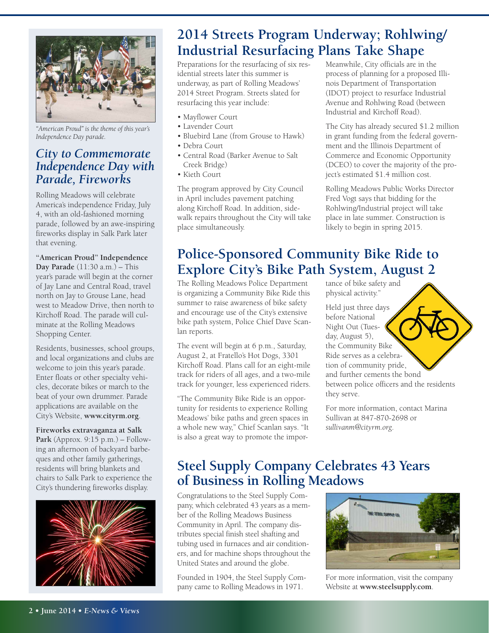

*"American Proud" is the theme of this year's Independence Day parade.*

### *City to Commemorate Independence Day with Parade, Fireworks*

Rolling Meadows will celebrate America's independence Friday, July 4, with an old-fashioned morning parade, followed by an awe-inspiring fireworks display in Salk Park later that evening.

**"American Proud" Independence Day Parade** (11:30 a.m.) – This year's parade will begin at the corner of Jay Lane and Central Road, travel north on Jay to Grouse Lane, head west to Meadow Drive, then north to Kirchoff Road. The parade will culminate at the Rolling Meadows Shopping Center.

Residents, businesses, school groups, and local organizations and clubs are welcome to join this year's parade. Enter floats or other specialty vehicles, decorate bikes or march to the beat of your own drummer. Parade applications are available on the City's Website, **[www.cityrm.org](http://www.cityrm.org)**.

**Fireworks extravaganza at Salk Park** (Approx. 9:15 p.m.) – Following an afternoon of backyard barbeques and other family gatherings, residents will bring blankets and chairs to Salk Park to experience the City's thundering fireworks display.



## **2014 Streets Program Underway; Rohlwing/ Industrial Resurfacing Plans Take Shape**

Preparations for the resurfacing of six residential streets later this summer is underway, as part of Rolling Meadows' 2014 Street Program. Streets slated for resurfacing this year include:

- Mayflower Court
- Lavender Court
- Bluebird Lane (from Grouse to Hawk)
- Debra Court
- Central Road (Barker Avenue to Salt Creek Bridge)
- Kieth Court

The program approved by City Council in April includes pavement patching along Kirchoff Road. In addition, sidewalk repairs throughout the City will take place simultaneously.

Meanwhile, City officials are in the process of planning for a proposed Illinois Department of Transportation (IDOT) project to resurface Industrial Avenue and Rohlwing Road (between Industrial and Kirchoff Road).

The City has already secured \$1.2 million in grant funding from the federal government and the Illinois Department of Commerce and Economic Opportunity (DCEO) to cover the majority of the project's estimated \$1.4 million cost.

Rolling Meadows Public Works Director Fred Vogt says that bidding for the Rohlwing/Industrial project will take place in late summer. Construction is likely to begin in spring 2015.

# **Police-Sponsored Community Bike Ride to Explore City's Bike Path System, August 2**

The Rolling Meadows Police Department is organizing a Community Bike Ride this summer to raise awareness of bike safety and encourage use of the City's extensive bike path system, Police Chief Dave Scanlan reports.

The event will begin at 6 p.m., Saturday, August 2, at Fratello's Hot Dogs, 3301 Kirchoff Road. Plans call for an eight-mile track for riders of all ages, and a two-mile track for younger, less experienced riders.

"The Community Bike Ride is an opportunity for residents to experience Rolling Meadows' bike paths and green spaces in a whole new way," Chief Scanlan says. "It is also a great way to promote the importance of bike safety and physical activity."

Held just three days before National Night Out (Tuesday, August 5), the Community Bike Ride serves as a celebration of community pride, and further cements the bond between police officers and the residents they serve.

For more information, contact Marina Sullivan at 847-870-2698 or *[sullivanm@cityrm.org](mailto:sullivanm@cityrm.org)*.

## **Steel Supply Company Celebrates 43 Years of Business in Rolling Meadows**

Congratulations to the Steel Supply Company, which celebrated 43 years as a member of the Rolling Meadows Business Community in April. The company distributes special finish steel shafting and tubing used in furnaces and air conditioners, and for machine shops throughout the United States and around the globe.

Founded in 1904, the Steel Supply Company came to Rolling Meadows in 1971.



For more information, visit the company Website at **<www.steelsupply.com>**.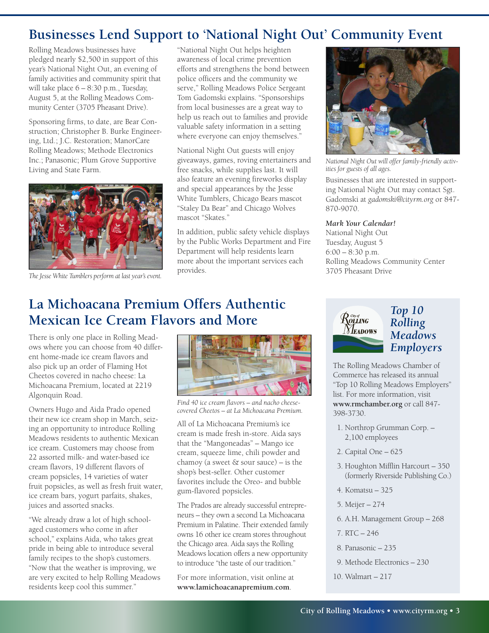## **Businesses Lend Support to 'National Night Out' Community Event**

Rolling Meadows businesses have pledged nearly \$2,500 in support of this year's National Night Out, an evening of family activities and community spirit that will take place 6 – 8:30 p.m., Tuesday, August 5, at the Rolling Meadows Community Center (3705 Pheasant Drive).

Sponsoring firms, to date, are Bear Construction; Christopher B. Burke Engineering, Ltd.; J.C. Restoration; ManorCare Rolling Meadows; Methode Electronics Inc.; Panasonic; Plum Grove Supportive Living and State Farm.



*The Jesse White Tumblers perform at last year's event.* 

"National Night Out helps heighten awareness of local crime prevention efforts and strengthens the bond between police officers and the community we serve," Rolling Meadows Police Sergeant Tom Gadomski explains. "Sponsorships from local businesses are a great way to help us reach out to families and provide valuable safety information in a setting where everyone can enjoy themselves."

National Night Out guests will enjoy giveaways, games, roving entertainers and free snacks, while supplies last. It will also feature an evening fireworks display and special appearances by the Jesse White Tumblers, Chicago Bears mascot "Staley Da Bear" and Chicago Wolves mascot "Skates."

In addition, public safety vehicle displays by the Public Works Department and Fire Department will help residents learn more about the important services each provides.



*National Night Out will offer family-friendly activities for guests of all ages.*

Businesses that are interested in supporting National Night Out may contact Sgt. Gadomski at *[gadomski@cityrm.org](mailto:gadomski@cityrm.org)* or 847- 870-9070.

#### *Mark Your Calendar!*

National Night Out Tuesday, August 5 6:00 – 8:30 p.m. Rolling Meadows Community Center 3705 Pheasant Drive

## **La Michoacana Premium Offers Authentic Mexican Ice Cream Flavors and More**

There is only one place in Rolling Meadows where you can choose from 40 different home-made ice cream flavors and also pick up an order of Flaming Hot Cheetos covered in nacho cheese: La Michoacana Premium, located at 2219 Algonquin Road.

Owners Hugo and Aida Prado opened their new ice cream shop in March, seizing an opportunity to introduce Rolling Meadows residents to authentic Mexican ice cream. Customers may choose from 22 assorted milk- and water-based ice cream flavors, 19 different flavors of cream popsicles, 14 varieties of water fruit popsicles, as well as fresh fruit water, ice cream bars, yogurt parfaits, shakes, juices and assorted snacks.

"We already draw a lot of high schoolaged customers who come in after school," explains Aida, who takes great pride in being able to introduce several family recipes to the shop's customers. "Now that the weather is improving, we are very excited to help Rolling Meadows residents keep cool this summer."



*Find 40 ice cream flavors – and nacho cheesecovered Cheetos – at La Michoacana Premium.*

All of La Michoacana Premium's ice cream is made fresh in-store. Aida says that the "Mangoneadas" – Mango ice cream, squeeze lime, chili powder and chamoy (a sweet  $&$  sour sauce) – is the shop's best-seller. Other customer favorites include the Oreo- and bubble gum-flavored popsicles.

The Prados are already successful entrepreneurs – they own a second La Michoacana Premium in Palatine. Their extended family owns 16 other ice cream stores throughout the Chicago area. Aida says the Rolling Meadows location offers a new opportunity to introduce "the taste of our tradition."

For more information, visit online at **<www.lamichoacanapremium.com>**.



#### *Top 10 Rolling Meadows Employers*

The Rolling Meadows Chamber of Commerce has released its annual "Top 10 Rolling Meadows Employers" list. For more information, visit **www.rmchamber.org** or call 847- 398-3730.

- 1. Northrop Grumman Corp. 2,100 employees
- 2. Capital One 625
- 3. Houghton Mifflin Harcourt 350 (formerly Riverside Publishing Co.)
- 4. Komatsu 325
- 5. Meijer 274
- 6. A.H. Management Group 268
- 7. RTC 246
- 8. Panasonic 235
- 9. Methode Electronics 230
- 10. Walmart 217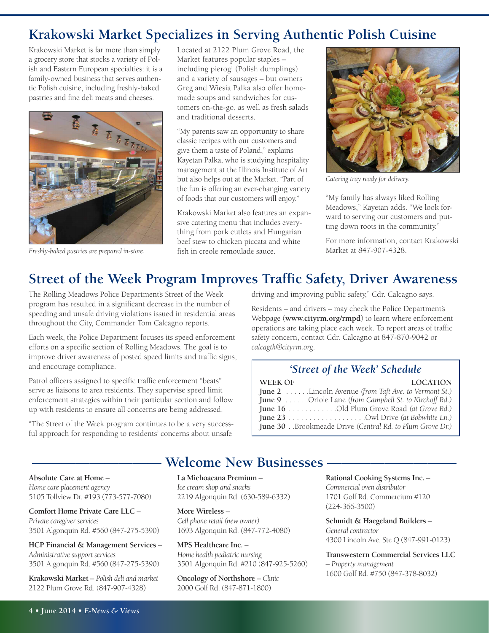## **Krakowski Market Specializes in Serving Authentic Polish Cuisine**

Krakowski Market is far more than simply a grocery store that stocks a variety of Polish and Eastern European specialties: it is a family-owned business that serves authentic Polish cuisine, including freshly-baked pastries and fine deli meats and cheeses.



*Freshly-baked pastries are prepared in-store.*

Located at 2122 Plum Grove Road, the Market features popular staples – including pierogi (Polish dumplings) and a variety of sausages – but owners Greg and Wiesia Palka also offer homemade soups and sandwiches for customers on-the-go, as well as fresh salads and traditional desserts.

"My parents saw an opportunity to share classic recipes with our customers and give them a taste of Poland," explains Kayetan Palka, who is studying hospitality management at the Illinois Institute of Art but also helps out at the Market. "Part of the fun is offering an ever-changing variety of foods that our customers will enjoy."

Krakowski Market also features an expansive catering menu that includes everything from pork cutlets and Hungarian beef stew to chicken piccata and white fish in creole remoulade sauce.



*Catering tray ready for delivery.*

"My family has always liked Rolling Meadows," Kayetan adds. "We look forward to serving our customers and putting down roots in the community."

For more information, contact Krakowski Market at 847-907-4328.

## **Street of the Week Program Improves Traffic Safety, Driver Awareness**

The Rolling Meadows Police Department's Street of the Week program has resulted in a significant decrease in the number of speeding and unsafe driving violations issued in residential areas throughout the City, Commander Tom Calcagno reports.

Each week, the Police Department focuses its speed enforcement efforts on a specific section of Rolling Meadows. The goal is to improve driver awareness of posted speed limits and traffic signs, and encourage compliance.

Patrol officers assigned to specific traffic enforcement "beats" serve as liaisons to area residents. They supervise speed limit enforcement strategies within their particular section and follow up with residents to ensure all concerns are being addressed.

"The Street of the Week program continues to be a very successful approach for responding to residents' concerns about unsafe

driving and improving public safety," Cdr. Calcagno says.

Residents – and drivers – may check the Police Department's Webpage (**<www.cityrm.org/rmpd>**) to learn where enforcement operations are taking place each week. To report areas of traffic safety concern, contact Cdr. Calcagno at 847-870-9042 or *[calcagth@cityrm.org](mailto:calcagth@cityrm.org)*.

#### *'Street of the Week' Schedule*

| WEEK OF | <b>LOCATION</b>                                                   |
|---------|-------------------------------------------------------------------|
|         | <b>June 2</b> Lincoln Avenue (from Taft Ave. to Vermont St.)      |
|         | <b>June 9</b> Oriole Lane (from Campbell St. to Kirchoff Rd.)     |
|         | <b>June 16</b> Old Plum Grove Road (at Grove Rd.)                 |
|         |                                                                   |
|         | <b>June 30</b> . Brookmeade Drive (Central Rd. to Plum Grove Dr.) |

### **Welcome New Businesses**

**Absolute Care at Home** – *Homecare placement agency* 5105 Tollview Dr. #193 (773-577-7080)

**Comfort Home Private Care LLC** – *Privatecaregiver services* 3501 Algonquin Rd. #560 (847-275-5390)

**HCP Financial & Management Services** – *Administrativesupport services* 3501 Algonquin Rd. #560 (847-275-5390)

**Krakowski Market** – *Polish deli and market* 2122 Plum Grove Rd. (847-907-4328)

**La Michoacana Premium** – *Icecream shop and snacks* 2219 Algonquin Rd. (630-589-6332)

**More Wireless** – *Cell phone retail* (*new owner*) 1693 Algonquin Rd. (847-772-4080)

**MPS Healthcare Inc.** – *Home health pediatric nursing* 3501 Algonquin Rd. #210 (847-925-5260)

**Oncology of Northshore** – *Clinic* 2000 Golf Rd. (847-871-1800)

**Rational Cooking Systems Inc.** – *Commercial oven distributor* 1701 Golf Rd. Commercium #120 (224-366-3500)

**Schmidt & Haegeland Builders** – *General contractor* 4300 Lincoln Ave. Ste Q (847-991-0123)

**Transwestern Commercial Services LLC** – *Property management* 1600 Golf Rd. #750 (847-378-8032)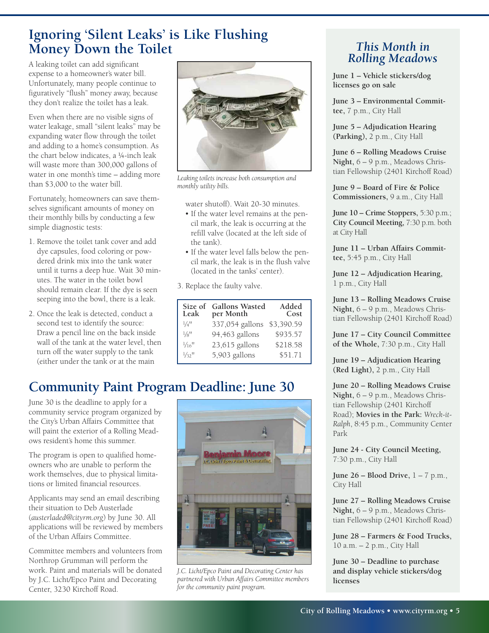## **Ignoring 'Silent Leaks' is Like Flushing Money Down the Toilet**

A leaking toilet can add significant expense to a homeowner's water bill. Unfortunately, many people continue to figuratively "flush" money away, because they don't realize the toilet has a leak.

Even when there are no visible signs of water leakage, small "silent leaks" may be expanding water flow through the toilet and adding to a home's consumption. As the chart below indicates, a ¼-inch leak will waste more than 300,000 gallons of water in one month's time – adding more than \$3,000 to the water bill.

Fortunately, homeowners can save themselves significant amounts of money on their monthly bills by conducting a few simple diagnostic tests:

- 1. Remove the toilet tank cover and add dye capsules, food coloring or powdered drink mix into the tank water until it turns a deep hue. Wait 30 minutes. The water in the toilet bowl should remain clear. If the dye is seen seeping into the bowl, there is a leak.
- 2. Once the leak is detected, conduct a second test to identify the source: Draw a pencil line on the back inside wall of the tank at the water level, then turn off the water supply to the tank (either under the tank or at the main



*Leaking toilets increase both consumption and monthly utility bills.*

water shutoff). Wait 20-30 minutes.

- If the water level remains at the pencil mark, the leak is occurring at the refill valve (located at the left side of the tank).
- If the water level falls below the pencil mark, the leak is in the flush valve (located in the tanks' center).
- 3. Replace the faulty valve.

| Size of<br>Leak              | <b>Gallons Wasted</b><br>per Month | Added<br>Cost |
|------------------------------|------------------------------------|---------------|
| $1/4$ <sup>11</sup>          | 337,054 gallons                    | \$3,390.59    |
| $\frac{1}{8}$ <sup>11</sup>  | 94,463 gallons                     | \$935.57      |
| $\frac{1}{16}$ <sup>11</sup> | $23,615$ gallons                   | \$218.58      |
| $1/32$ <sup>11</sup>         | 5,903 gallons                      | \$51.71       |

# **Community Paint Program Deadline: June 30**

June 30 is the deadline to apply for a community service program organized by the City's Urban Affairs Committee that will paint the exterior of a Rolling Meadows resident's home this summer.

The program is open to qualified homeowners who are unable to perform the work themselves, due to physical limitations or limited financial resources.

Applicants may send an email describing their situation to Deb Austerlade (*[austerladed@cityrm.org](mailto:austerladed@cityrm.org)*) by June 30. All applications will be reviewed by members of the Urban Affairs Committee.

Committee members and volunteers from Northrop Grumman will perform the work. Paint and materials will be donated by J.C. Licht/Epco Paint and Decorating Center, 3230 Kirchoff Road.



*J.C. Licht/Epco Paint and Decorating Center has partnered with Urban Affairs Committee members for the community paint program.*

### *This Month in Rolling Meadows*

**June 1 – Vehicle stickers/dog licenses go on sale**

**June 3 – Environmental Committee,** 7 p.m., City Hall

**June 5 – Adjudication Hearing (Parking),** 2 p.m., City Hall

**June 6 – Rolling Meadows Cruise Night,** 6 – 9 p.m., Meadows Christian Fellowship (2401 Kirchoff Road)

**June 9 – Board of Fire & Police Commissioners,** 9 a.m., City Hall

**June 10 – Crime Stoppers,** 5:30 p.m.; **City Council Meeting,** 7:30 p.m. both at City Hall

**June 11 – Urban Affairs Committee,** 5:45 p.m., City Hall

**June 12 – Adjudication Hearing,** 1 p.m., City Hall

**June 13 – Rolling Meadows Cruise Night,** 6 – 9 p.m., Meadows Christian Fellowship (2401 Kirchoff Road)

**June 17 – City Council Committee of the Whole,** 7:30 p.m., City Hall

**June 19 – Adjudication Hearing (Red Light),** 2 p.m., City Hall

**June 20 – Rolling Meadows Cruise Night,** 6 – 9 p.m., Meadows Christian Fellowship (2401 Kirchoff Road); **Movies in the Park:** *Wreck-it-Ralph*, 8:45 p.m., Community Center Park

**June 24 - City Council Meeting,** 7:30 p.m., City Hall

**June 26 – Blood Drive,** 1 – 7 p.m., City Hall

**June 27 – Rolling Meadows Cruise Night,** 6 – 9 p.m., Meadows Christian Fellowship (2401 Kirchoff Road)

**June 28 – Farmers & Food Trucks,** 10 a.m. – 2 p.m., City Hall

**June 30 – Deadline to purchase and display vehicle stickers/dog licenses**